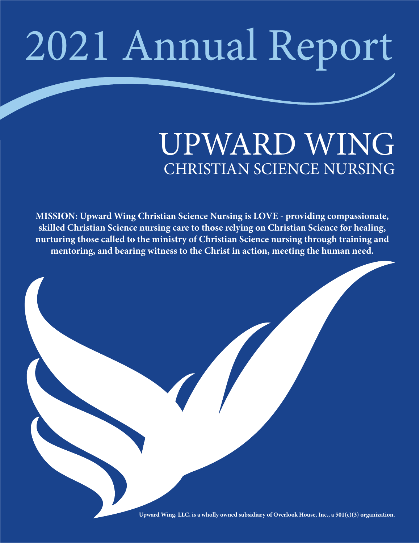# 2021 Annual Report

### UPWARD WING CHRISTIAN SCIENCE NURSING

**MISSION: Upward Wing Christian Science Nursing is LOVE - providing compassionate, skilled Christian Science nursing care to those relying on Christian Science for healing, nurturing those called to the ministry of Christian Science nursing through training and mentoring, and bearing witness to the Christ in action, meeting the human need.** 



**Upward Wing, LLC, is a wholly owned subsidiary of Overlook House, Inc., a 501(c)(3) organization.**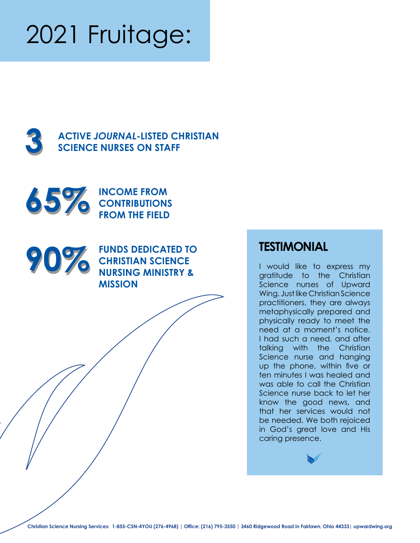## 2021 Fruitage:





**65%** INCOME FROM<br> **65%** FROM THE FIELD **CONTRIBUTIONS FROM THE FIELD**



**90% FUNDS DEDICATED TO TESTIMONIAL**<br>CHRISTIAN SCIENCE<br>NURSING MINISTRY & **FUNDS DEDICATED TO CHRISTIAN SCIENCE NURSING MINISTRY & MISSION**

I would like to express my gratitude to the Christian Science nurses of Upward Wing. Just like Christian Science practitioners, they are always metaphysically prepared and physically ready to meet the need at a moment's notice. I had such a need, and after talking with the Christian Science nurse and hanging up the phone, within five or ten minutes I was healed and was able to call the Christian Science nurse back to let her know the good news, and that her services would not be needed. We both rejoiced in God's great love and His caring presence.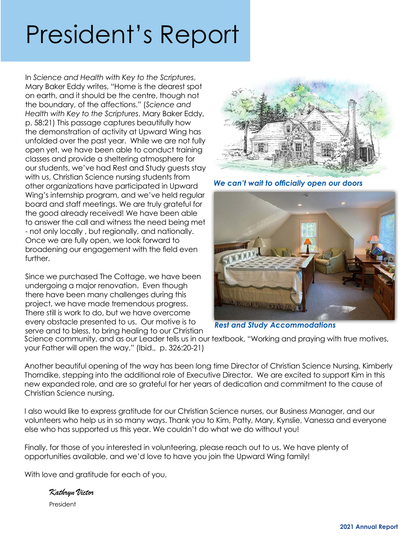### President's Report

In *Science and Health with Key to the Scriptures*, Mary Baker Eddy writes, "Home is the dearest spot on earth, and it should be the centre, though not the boundary, of the affections." (*Science and Health with Key to the Scriptures*, Mary Baker Eddy, p. 58:21) This passage captures beautifully how the demonstration of activity at Upward Wing has unfolded over the past year. While we are not fully open yet, we have been able to conduct training classes and provide a sheltering atmosphere for our students, we've had Rest and Study guests stay with us, Christian Science nursing students from other organizations have participated in Upward Wing's internship program, and we've held regular board and staff meetings. We are truly grateful for the good already received! We have been able to answer the call and witness the need being met - not only locally , but regionally, and nationally. Once we are fully open, we look forward to broadening our engagement with the field even further.

Since we purchased The Cottage, we have been undergoing a major renovation. Even though there have been many challenges during this project, we have made tremendous progress. There still is work to do, but we have overcome every obstacle presented to us. Our motive is to serve and to bless, to bring healing to our Christian



We can't wait to officially open our doors



*Rest and Study Accommodations*

Science community, and as our Leader tells us in our textbook, "Working and praying with true motives, your Father will open the way." (Ibid., p. 326:20-21)

Another beautiful opening of the way has been long time Director of Christian Science Nursing, Kimberly Thorndike, stepping into the additional role of Executive Director. We are excited to support Kim in this new expanded role, and are so grateful for her years of dedication and commitment to the cause of Christian Science nursing.

I also would like to express gratitude for our Christian Science nurses, our Business Manager, and our volunteers who help us in so many ways. Thank you to Kim, Patty, Mary, Kynslie, Vanessa and everyone else who has supported us this year. We couldn't do what we do without you!

Finally, for those of you interested in volunteering, please reach out to us. We have plenty of opportunities available, and we'd love to have you join the Upward Wing family!

With love and gratitude for each of you,

*Kathryn Victor* President

**2021 Annual Report**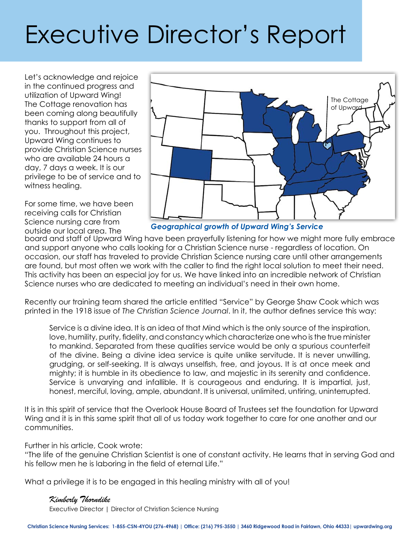### Executive Director's Report

Let's acknowledge and rejoice in the continued progress and utilization of Upward Wing! The Cottage renovation has been coming along beautifully thanks to support from all of you. Throughout this project, Upward Wing continues to provide Christian Science nurses who are available 24 hours a day, 7 days a week. It is our privilege to be of service and to witness healing.

For some time, we have been receiving calls for Christian Science nursing care from outside our local area. The



*Geographical growth of Upward Wing's Service*

board and staff of Upward Wing have been prayerfully listening for how we might more fully embrace and support anyone who calls looking for a Christian Science nurse - regardless of location. On occasion, our staff has traveled to provide Christian Science nursing care until other arrangements are found, but most often we work with the caller to find the right local solution to meet their need. This activity has been an especial joy for us. We have linked into an incredible network of Christian Science nurses who are dedicated to meeting an individual's need in their own home.

Recently our training team shared the article entitled "Service" by George Shaw Cook which was printed in the 1918 issue of *The Christian Science Journal*. In it, the author defines service this way:

Service is a divine idea. It is an idea of that Mind which is the only source of the inspiration, love, humility, purity, fidelity, and constancy which characterize one who is the true minister to mankind. Separated from these qualities service would be only a spurious counterfeit of the divine. Being a divine idea service is quite unlike servitude. It is never unwilling, grudging, or self-seeking. It is always unselfish, free, and joyous. It is at once meek and mighty; it is humble in its obedience to law, and majestic in its serenity and confidence. Service is unvarying and infallible. It is courageous and enduring. It is impartial, just, honest, merciful, loving, ample, abundant. It is universal, unlimited, untiring, uninterrupted.

It is in this spirit of service that the Overlook House Board of Trustees set the foundation for Upward Wing and it is in this same spirit that all of us today work together to care for one another and our communities.

Further in his article, Cook wrote:

"The life of the genuine Christian Scientist is one of constant activity. He learns that in serving God and his fellow men he is laboring in the field of eternal Life."

What a privilege it is to be engaged in this healing ministry with all of you!

### *Kimberly Thorndike*

Executive Director | Director of Christian Science Nursing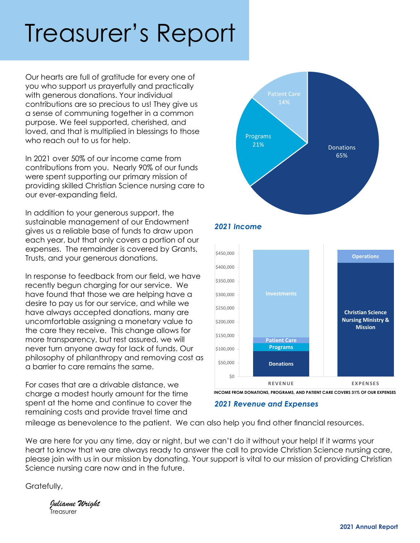### Treasurer's Report

Our hearts are full of gratitude for every one of you who support us prayerfully and practically with generous donations. Your individual contributions are so precious to us! They give us a sense of communing together in a common purpose. We feel supported, cherished, and loved, and that is multiplied in blessings to those who reach out to us for help.

In 2021 over 50% of our income came from contributions from you. Nearly 90% of our funds were spent supporting our primary mission of providing skilled Christian Science nursing care to our ever-expanding field.

In addition to your generous support, the sustainable management of our Endowment gives us a reliable base of funds to draw upon each year, but that only covers a portion of our expenses. The remainder is covered by Grants, Trusts, and your generous donations.

In response to feedback from our field, we have recently begun charging for our service. We have found that those we are helping have a desire to pay us for our service, and while we have always accepted donations, many are uncomfortable assigning a monetary value to the care they receive. This change allows for more transparency, but rest assured, we will never turn anyone away for lack of funds. Our philosophy of philanthropy and removing cost as a barrier to care remains the same.

For cases that are a drivable distance, we charge a modest hourly amount for the time spent at the home and continue to cover the remaining costs and provide travel time and





**INCOME FROM DONATIONS, PROGRAMS, AND PATIENT CARE COVERS 31% OF OUR EXPENSES**

### *2021 Revenue and Expenses*

*2021 Income*

mileage as benevolence to the patient. We can also help you find other financial resources.

We are here for you any time, day or night, but we can't do it without your help! If it warms your heart to know that we are always ready to answer the call to provide Christian Science nursing care, please join with us in our mission by donating. Your support is vital to our mission of providing Christian Science nursing care now and in the future.

Gratefully,

*Julianne Wright* **T**reasurer